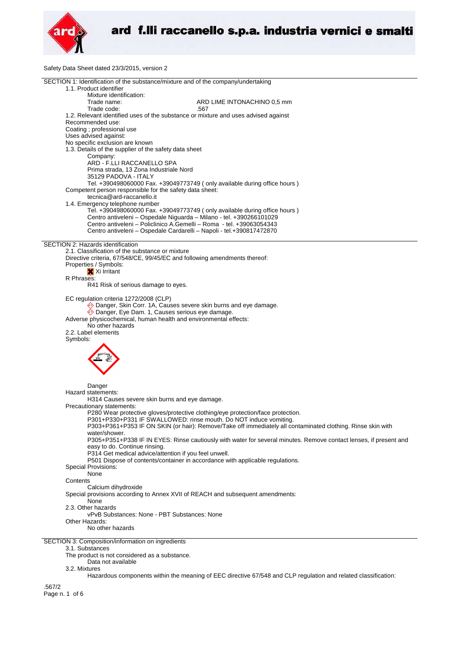

Safety Data Sheet dated 23/3/2015, version 2

| SECTION 1: Identification of the substance/mixture and of the company/undertaking                                 |  |
|-------------------------------------------------------------------------------------------------------------------|--|
| 1.1. Product identifier                                                                                           |  |
| Mixture identification:                                                                                           |  |
| Trade name:<br>ARD LIME INTONACHINO 0,5 mm                                                                        |  |
| Trade code:<br>.567                                                                                               |  |
| 1.2. Relevant identified uses of the substance or mixture and uses advised against                                |  |
| Recommended use:                                                                                                  |  |
| Coating ; professional use                                                                                        |  |
| Uses advised against:                                                                                             |  |
| No specific exclusion are known                                                                                   |  |
| 1.3. Details of the supplier of the safety data sheet                                                             |  |
| Company:                                                                                                          |  |
| ARD - F.LLI RACCANELLO SPA                                                                                        |  |
| Prima strada, 13 Zona Industriale Nord                                                                            |  |
| 35129 PADOVA - ITALY                                                                                              |  |
| Tel. +390498060000 Fax. +39049773749 (only available during office hours)                                         |  |
|                                                                                                                   |  |
| Competent person responsible for the safety data sheet:                                                           |  |
| tecnica@ard-raccanello.it                                                                                         |  |
| 1.4. Emergency telephone number                                                                                   |  |
| Tel. +390498060000 Fax. +39049773749 (only available during office hours)                                         |  |
| Centro antiveleni - Ospedale Niguarda - Milano - tel. +390266101029                                               |  |
| Centro antiveleni - Policlinico A.Gemelli - Roma - tel. +39063054343                                              |  |
| Centro antiveleni - Ospedale Cardarelli - Napoli - tel.+390817472870                                              |  |
|                                                                                                                   |  |
| SECTION 2: Hazards identification                                                                                 |  |
| 2.1. Classification of the substance or mixture                                                                   |  |
| Directive criteria, 67/548/CE, 99/45/EC and following amendments thereof:                                         |  |
| Properties / Symbols:                                                                                             |  |
| X Xi Irritant                                                                                                     |  |
| R Phrases:                                                                                                        |  |
| R41 Risk of serious damage to eyes.                                                                               |  |
|                                                                                                                   |  |
| EC regulation criteria 1272/2008 (CLP)                                                                            |  |
| ♦ Danger, Skin Corr. 1A, Causes severe skin burns and eye damage.                                                 |  |
| Danger, Eye Dam. 1, Causes serious eye damage.                                                                    |  |
| Adverse physicochemical, human health and environmental effects:                                                  |  |
| No other hazards                                                                                                  |  |
|                                                                                                                   |  |
| 2.2. Label elements                                                                                               |  |
| Symbols:                                                                                                          |  |
|                                                                                                                   |  |
|                                                                                                                   |  |
|                                                                                                                   |  |
|                                                                                                                   |  |
|                                                                                                                   |  |
|                                                                                                                   |  |
| Danger                                                                                                            |  |
| Hazard statements:                                                                                                |  |
| H314 Causes severe skin burns and eye damage.                                                                     |  |
| Precautionary statements:                                                                                         |  |
| P280 Wear protective gloves/protective clothing/eye protection/face protection.                                   |  |
| P301+P330+P331 IF SWALLOWED: rinse mouth. Do NOT induce vomiting.                                                 |  |
| P303+P361+P353 IF ON SKIN (or hair): Remove/Take off immediately all contaminated clothing. Rinse skin with       |  |
| water/shower.                                                                                                     |  |
| P305+P351+P338 IF IN EYES: Rinse cautiously with water for several minutes. Remove contact lenses, if present and |  |
| easy to do. Continue rinsing.                                                                                     |  |
| P314 Get medical advice/attention if you feel unwell.                                                             |  |
| P501 Dispose of contents/container in accordance with applicable regulations.                                     |  |
| Special Provisions:                                                                                               |  |
|                                                                                                                   |  |
| None                                                                                                              |  |
| Contents                                                                                                          |  |
| Calcium dihydroxide                                                                                               |  |
| Special provisions according to Annex XVII of REACH and subsequent amendments:                                    |  |
| None                                                                                                              |  |
| 2.3. Other hazards                                                                                                |  |
| vPvB Substances: None - PBT Substances: None                                                                      |  |
| Other Hazards:                                                                                                    |  |
| No other hazards                                                                                                  |  |
|                                                                                                                   |  |
| SECTION 3: Composition/information on ingredients                                                                 |  |
| 3.1. Substances                                                                                                   |  |
| The product is not considered as a substance.                                                                     |  |
| Data not available                                                                                                |  |

3.2. Mixtures

Hazardous components within the meaning of EEC directive 67/548 and CLP regulation and related classification:

.567/2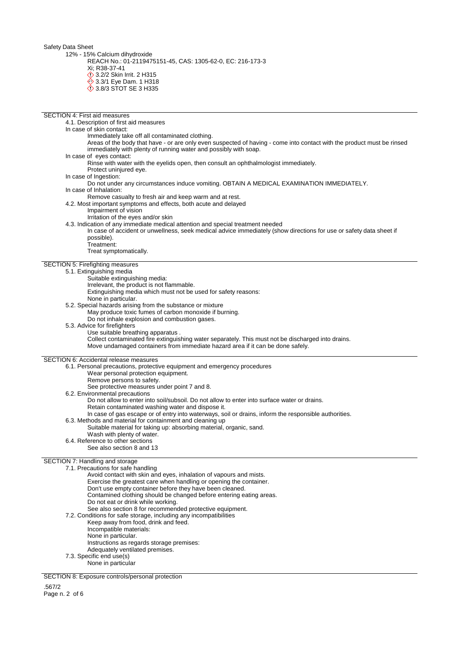Safety Data Sheet

12% - 15% Calcium dihydroxide

REACH No.: 01-2119475151-45, CAS: 1305-62-0, EC: 216-173-3

Xi; R38-37-41

- 3.2/2 Skin Irrit. 2 H315
- 3.3/1 Eye Dam. 1 H318
- 3.8/3 STOT SE 3 H335

| <b>SECTION 4: First aid measures</b>                                                                                   |  |  |  |  |
|------------------------------------------------------------------------------------------------------------------------|--|--|--|--|
| 4.1. Description of first aid measures                                                                                 |  |  |  |  |
| In case of skin contact:                                                                                               |  |  |  |  |
| Immediately take off all contaminated clothing.                                                                        |  |  |  |  |
| Areas of the body that have - or are only even suspected of having - come into contact with the product must be rinsed |  |  |  |  |
| immediately with plenty of running water and possibly with soap.                                                       |  |  |  |  |
| In case of eyes contact:                                                                                               |  |  |  |  |
| Rinse with water with the eyelids open, then consult an ophthalmologist immediately.                                   |  |  |  |  |
| Protect uninjured eye.<br>In case of Ingestion:                                                                        |  |  |  |  |
| Do not under any circumstances induce vomiting. OBTAIN A MEDICAL EXAMINATION IMMEDIATELY.                              |  |  |  |  |
| In case of Inhalation:                                                                                                 |  |  |  |  |
| Remove casualty to fresh air and keep warm and at rest.                                                                |  |  |  |  |
| 4.2. Most important symptoms and effects, both acute and delayed                                                       |  |  |  |  |
| Impairment of vision                                                                                                   |  |  |  |  |
| Irritation of the eyes and/or skin                                                                                     |  |  |  |  |
| 4.3. Indication of any immediate medical attention and special treatment needed                                        |  |  |  |  |
| In case of accident or unwellness, seek medical advice immediately (show directions for use or safety data sheet if    |  |  |  |  |
| possible).                                                                                                             |  |  |  |  |
| Treatment:<br>Treat symptomatically.                                                                                   |  |  |  |  |
|                                                                                                                        |  |  |  |  |
| <b>SECTION 5: Firefighting measures</b>                                                                                |  |  |  |  |
| 5.1. Extinguishing media                                                                                               |  |  |  |  |
| Suitable extinguishing media:                                                                                          |  |  |  |  |
| Irrelevant, the product is not flammable.                                                                              |  |  |  |  |
| Extinguishing media which must not be used for safety reasons:                                                         |  |  |  |  |
| None in particular.                                                                                                    |  |  |  |  |
| 5.2. Special hazards arising from the substance or mixture                                                             |  |  |  |  |
| May produce toxic fumes of carbon monoxide if burning.                                                                 |  |  |  |  |
| Do not inhale explosion and combustion gases.<br>5.3. Advice for firefighters                                          |  |  |  |  |
| Use suitable breathing apparatus.                                                                                      |  |  |  |  |
| Collect contaminated fire extinguishing water separately. This must not be discharged into drains.                     |  |  |  |  |
| Move undamaged containers from immediate hazard area if it can be done safely.                                         |  |  |  |  |
|                                                                                                                        |  |  |  |  |
| <b>SECTION 6: Accidental release measures</b>                                                                          |  |  |  |  |
| 6.1. Personal precautions, protective equipment and emergency procedures                                               |  |  |  |  |
| Wear personal protection equipment.                                                                                    |  |  |  |  |
| Remove persons to safety.<br>See protective measures under point 7 and 8.                                              |  |  |  |  |
| 6.2. Environmental precautions                                                                                         |  |  |  |  |
| Do not allow to enter into soil/subsoil. Do not allow to enter into surface water or drains.                           |  |  |  |  |
| Retain contaminated washing water and dispose it.                                                                      |  |  |  |  |
| In case of gas escape or of entry into waterways, soil or drains, inform the responsible authorities.                  |  |  |  |  |
| 6.3. Methods and material for containment and cleaning up                                                              |  |  |  |  |
| Suitable material for taking up: absorbing material, organic, sand.                                                    |  |  |  |  |
| Wash with plenty of water.                                                                                             |  |  |  |  |
| 6.4. Reference to other sections                                                                                       |  |  |  |  |
| See also section 8 and 13                                                                                              |  |  |  |  |
| SECTION 7: Handling and storage                                                                                        |  |  |  |  |
| 7.1. Precautions for safe handling                                                                                     |  |  |  |  |
| Avoid contact with skin and eyes, inhalation of vapours and mists.                                                     |  |  |  |  |
| Exercise the greatest care when handling or opening the container.                                                     |  |  |  |  |
| Don't use empty container before they have been cleaned.                                                               |  |  |  |  |
| Contamined clothing should be changed before entering eating areas.                                                    |  |  |  |  |
| Do not eat or drink while working.                                                                                     |  |  |  |  |
| See also section 8 for recommended protective equipment.                                                               |  |  |  |  |
| 7.2. Conditions for safe storage, including any incompatibilities<br>Keep away from food, drink and feed.              |  |  |  |  |
| Incompatible materials:                                                                                                |  |  |  |  |
| None in particular.                                                                                                    |  |  |  |  |
| Instructions as regards storage premises:                                                                              |  |  |  |  |
| Adequately ventilated premises.                                                                                        |  |  |  |  |
| 7.3. Specific end use(s)                                                                                               |  |  |  |  |

None in particular

SECTION 8: Exposure controls/personal protection

.567/2 Page n. 2 of 6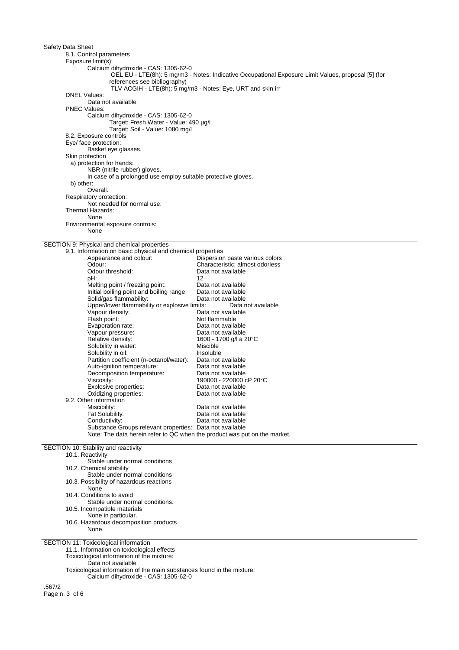| Safety Data Sheet                                                                       |                                                                                                     |  |
|-----------------------------------------------------------------------------------------|-----------------------------------------------------------------------------------------------------|--|
| 8.1. Control parameters                                                                 |                                                                                                     |  |
| Exposure limit(s):                                                                      |                                                                                                     |  |
| Calcium dihydroxide - CAS: 1305-62-0                                                    |                                                                                                     |  |
| references see bibliography)                                                            | OEL EU - LTE(8h): 5 mg/m3 - Notes: Indicative Occupational Exposure Limit Values, proposal [5] (for |  |
|                                                                                         | TLV ACGIH - LTE(8h): 5 mg/m3 - Notes: Eye, URT and skin irr                                         |  |
| <b>DNEL Values:</b>                                                                     |                                                                                                     |  |
| Data not available<br><b>PNEC Values:</b>                                               |                                                                                                     |  |
| Calcium dihydroxide - CAS: 1305-62-0                                                    |                                                                                                     |  |
| Target: Fresh Water - Value: 490 µg/l                                                   |                                                                                                     |  |
| Target: Soil - Value: 1080 mg/l                                                         |                                                                                                     |  |
| 8.2. Exposure controls<br>Eye/ face protection:                                         |                                                                                                     |  |
| Basket eye glasses.                                                                     |                                                                                                     |  |
| Skin protection                                                                         |                                                                                                     |  |
| a) protection for hands:<br>NBR (nitrile rubber) gloves.                                |                                                                                                     |  |
| In case of a prolonged use employ suitable protective gloves.                           |                                                                                                     |  |
| b) other:                                                                               |                                                                                                     |  |
| Overall.                                                                                |                                                                                                     |  |
| Respiratory protection:<br>Not needed for normal use.                                   |                                                                                                     |  |
| Thermal Hazards:                                                                        |                                                                                                     |  |
| None                                                                                    |                                                                                                     |  |
| Environmental exposure controls:<br>None                                                |                                                                                                     |  |
|                                                                                         |                                                                                                     |  |
| SECTION 9: Physical and chemical properties                                             |                                                                                                     |  |
| 9.1. Information on basic physical and chemical properties<br>Appearance and colour:    |                                                                                                     |  |
| Odour:                                                                                  | Dispersion paste various colors<br>Characteristic: almost odorless                                  |  |
| Odour threshold:                                                                        | Data not available                                                                                  |  |
| pH:                                                                                     | 12                                                                                                  |  |
| Melting point / freezing point:<br>Initial boiling point and boiling range:             | Data not available<br>Data not available                                                            |  |
| Solid/gas flammability:                                                                 | Data not available                                                                                  |  |
| Upper/lower flammability or explosive limits:                                           | Data not available                                                                                  |  |
| Vapour density:<br>Flash point:                                                         | Data not available<br>Not flammable                                                                 |  |
| Evaporation rate:                                                                       | Data not available                                                                                  |  |
| Vapour pressure:                                                                        | Data not available                                                                                  |  |
| Relative density:                                                                       | 1600 - 1700 g/l a 20°C                                                                              |  |
| Solubility in water:<br>Solubility in oil:                                              | Miscible<br>Insoluble                                                                               |  |
| Partition coefficient (n-octanol/water):                                                | Data not available                                                                                  |  |
| Auto-ignition temperature:                                                              | Data not available                                                                                  |  |
| Decomposition temperature:                                                              | Data not available<br>190000 - 220000 cP 20°C                                                       |  |
| Viscosity:<br>Explosive properties:                                                     | Data not available                                                                                  |  |
| Oxidizing properties:                                                                   | Data not available                                                                                  |  |
| 9.2. Other information                                                                  |                                                                                                     |  |
| Miscibility:<br>Fat Solubility:                                                         | Data not available<br>Data not available                                                            |  |
| Conductivity:                                                                           | Data not available                                                                                  |  |
| Substance Groups relevant properties: Data not available                                |                                                                                                     |  |
| Note: The data herein refer to QC when the product was put on the market.               |                                                                                                     |  |
| SECTION 10: Stability and reactivity                                                    |                                                                                                     |  |
| 10.1. Reactivity                                                                        |                                                                                                     |  |
| Stable under normal conditions                                                          |                                                                                                     |  |
| 10.2. Chemical stability<br>Stable under normal conditions                              |                                                                                                     |  |
| 10.3. Possibility of hazardous reactions                                                |                                                                                                     |  |
| None                                                                                    |                                                                                                     |  |
| 10.4. Conditions to avoid<br>Stable under normal conditions.                            |                                                                                                     |  |
| 10.5. Incompatible materials                                                            |                                                                                                     |  |
| None in particular.                                                                     |                                                                                                     |  |
| 10.6. Hazardous decomposition products<br>None.                                         |                                                                                                     |  |
|                                                                                         |                                                                                                     |  |
| SECTION 11: Toxicological information                                                   |                                                                                                     |  |
| 11.1. Information on toxicological effects<br>Toxicological information of the mixture: |                                                                                                     |  |
| Data not available                                                                      |                                                                                                     |  |
| Toxicological information of the main substances found in the mixture:                  |                                                                                                     |  |
| Calcium dihydroxide - CAS: 1305-62-0                                                    |                                                                                                     |  |
| .567/2<br>Page n. 3 of 6                                                                |                                                                                                     |  |
|                                                                                         |                                                                                                     |  |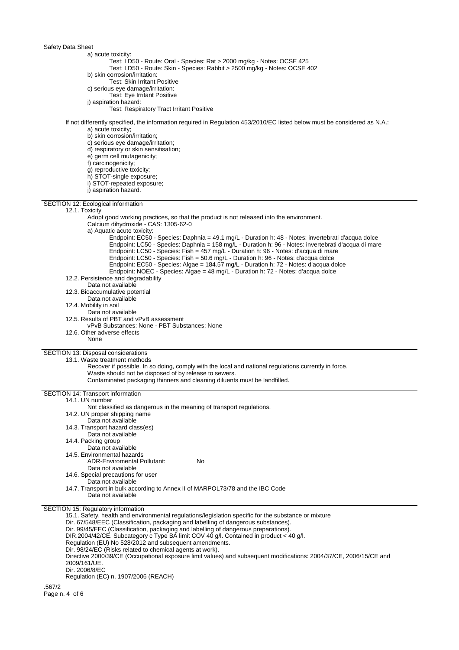## Safety Data Sheet

a) acute toxicity: Test: LD50 - Route: Oral - Species: Rat > 2000 mg/kg - Notes: OCSE 425 Test: LD50 - Route: Skin - Species: Rabbit > 2500 mg/kg - Notes: OCSE 402 b) skin corrosion/irritation: Test: Skin Irritant Positive c) serious eye damage/irritation: Test: Eye Irritant Positive j) aspiration hazard: Test: Respiratory Tract Irritant Positive If not differently specified, the information required in Regulation 453/2010/EC listed below must be considered as N.A.: a) acute toxicity; b) skin corrosion/irritation; c) serious eye damage/irritation; d) respiratory or skin sensitisation; e) germ cell mutagenicity; f) carcinogenicity; g) reproductive toxicity; h) STOT-single exposure; i) STOT-repeated exposure; j) aspiration hazard. SECTION 12: Ecological information 12.1. Toxicity Adopt good working practices, so that the product is not released into the environment. Calcium dihydroxide - CAS: 1305-62-0 a) Aquatic acute toxicity: Endpoint: EC50 - Species: Daphnia = 49.1 mg/L - Duration h: 48 - Notes: invertebrati d'acqua dolce Endpoint: LC50 - Species: Daphnia = 158 mg/L - Duration h: 96 - Notes: invertebrati d'acqua di mare Endpoint: LC50 - Species: Fish = 457 mg/L - Duration h: 96 - Notes: d'acqua di mare Endpoint: LC50 - Species: Fish = 50.6 mg/L - Duration h: 96 - Notes: d'acqua dolce

- Endpoint: EC50 Species: Algae = 184.57 mg/L Duration h: 72 Notes: d'acqua dolce
- Endpoint: NOEC Species: Algae = 48 mg/L Duration h: 72 Notes: d'acqua dolce
- 12.2. Persistence and degradability
- Data not available
- 12.3. Bioaccumulative potential
- Data not available
- 12.4. Mobility in soil
	- Data not available
- 12.5. Results of PBT and vPvB assessment
- vPvB Substances: None PBT Substances: None
- 12.6. Other adverse effects
	- None

SECTION 13: Disposal considerations 13.1. Waste treatment methods

- Recover if possible. In so doing, comply with the local and national regulations currently in force. Waste should not be disposed of by release to sewers.
	- Contaminated packaging thinners and cleaning diluents must be landfilled.
- SECTION 14: Transport information

14.1. UN number

- Not classified as dangerous in the meaning of transport regulations.
- 14.2. UN proper shipping name
	- Data not available
- 14.3. Transport hazard class(es)
- Data not available
- 14.4. Packing group
- Data not available
- 14.5. Environmental hazards

```
ADR-Enviromental Pollutant: No
```
- Data not available
- 14.6. Special precautions for user
- Data not available
- 14.7. Transport in bulk according to Annex II of MARPOL73/78 and the IBC Code Data not available

SECTION 15: Regulatory information

15.1. Safety, health and environmental regulations/legislation specific for the substance or mixture Dir. 67/548/EEC (Classification, packaging and labelling of dangerous substances). Dir. 99/45/EEC (Classification, packaging and labelling of dangerous preparations). DIR.2004/42/CE. Subcategory c Type BA limit COV 40 g/l. Contained in product < 40 g/l. Regulation (EU) No 528/2012 and subsequent amendments. Dir. 98/24/EC (Risks related to chemical agents at work). Directive 2000/39/CE (Occupational exposure limit values) and subsequent modifications: 2004/37/CE, 2006/15/CE and 2009/161/UE. Dir. 2006/8/EC Regulation (EC) n. 1907/2006 (REACH)

.567/2 Page n. 4 of 6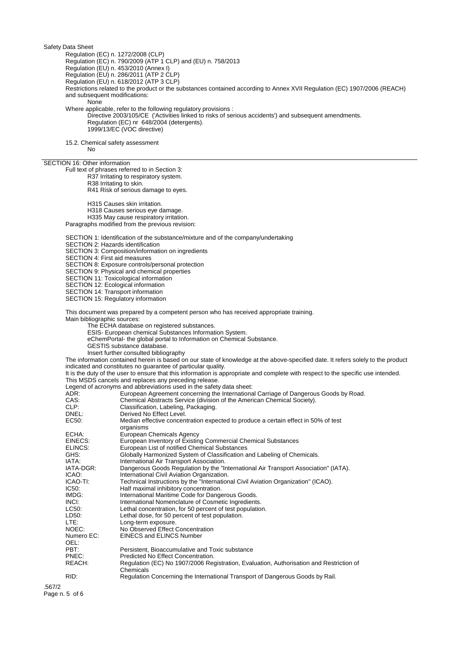Safety Data Sheet

Regulation (EC) n. 1272/2008 (CLP)

Regulation (EC) n. 790/2009 (ATP 1 CLP) and (EU) n. 758/2013

Regulation (EU) n. 453/2010 (Annex I)

Regulation (EU) n. 286/2011 (ATP 2 CLP)

Regulation (EU) n. 618/2012 (ATP 3 CLP)

Restrictions related to the product or the substances contained according to Annex XVII Regulation (EC) 1907/2006 (REACH) and subsequent modifications:

**None** 

Where applicable, refer to the following regulatory provisions :

Directive 2003/105/CE ('Activities linked to risks of serious accidents') and subsequent amendments. Regulation (EC) nr 648/2004 (detergents). 1999/13/EC (VOC directive)

15.2. Chemical safety assessment

No

## SECTION 16: Other information

Full text of phrases referred to in Section 3:

R37 Irritating to respiratory system.

R38 Irritating to skin.

R41 Risk of serious damage to eyes.

H315 Causes skin irritation.

H318 Causes serious eye damage.

H335 May cause respiratory irritation.

Paragraphs modified from the previous revision:

SECTION 1: Identification of the substance/mixture and of the company/undertaking

SECTION 2: Hazards identification

SECTION 3: Composition/information on ingredients

SECTION 4: First aid measures

SECTION 8: Exposure controls/personal protection

SECTION 9: Physical and chemical properties

SECTION 11: Toxicological information

SECTION 12: Ecological information

SECTION 14: Transport information

SECTION 15: Regulatory information

This document was prepared by a competent person who has received appropriate training.

Main bibliographic sources:

The ECHA database on registered substances.

ESIS- European chemical Substances Information System.

- eChemPortal- the global portal to Information on Chemical Substance.
- GESTIS substance database.

Insert further consulted bibliography

The information contained herein is based on our state of knowledge at the above-specified date. It refers solely to the product indicated and constitutes no guarantee of particular quality.

It is the duty of the user to ensure that this information is appropriate and complete with respect to the specific use intended. This MSDS cancels and replaces any preceding release.

Legend of acronyms and abbreviations used in the safety data sheet:

| $-99$<br>ADR: | European Agreement concerning the International Carriage of Dangerous Goods by Road.                 |
|---------------|------------------------------------------------------------------------------------------------------|
| CAS:          | Chemical Abstracts Service (division of the American Chemical Society).                              |
| CLP:          | Classification, Labeling, Packaging.                                                                 |
| DNEL:         | Derived No Effect Level.                                                                             |
| EC50:         | Median effective concentration expected to produce a certain effect in 50% of test<br>organisms      |
| ECHA:         | European Chemicals Agency                                                                            |
| EINECS:       | European Inventory of Existing Commercial Chemical Substances                                        |
| ELINCS:       | European List of notified Chemical Substances                                                        |
| GHS:          | Globally Harmonized System of Classification and Labeling of Chemicals.                              |
| IATA:         | International Air Transport Association.                                                             |
| IATA-DGR:     | Dangerous Goods Regulation by the "International Air Transport Association" (IATA).                  |
| ICAO:         | International Civil Aviation Organization.                                                           |
| ICAO-TI:      | Technical Instructions by the "International Civil Aviation Organization" (ICAO).                    |
| IC50:         | Half maximal inhibitory concentration.                                                               |
| IMDG:         | International Maritime Code for Dangerous Goods.                                                     |
| INCI:         | International Nomenclature of Cosmetic Ingredients.                                                  |
| LC50:         | Lethal concentration, for 50 percent of test population.                                             |
| LD50:         | Lethal dose, for 50 percent of test population.                                                      |
| LTE:          | Long-term exposure.                                                                                  |
| NOEC:         | No Observed Effect Concentration                                                                     |
| Numero EC:    | <b>EINECS and ELINCS Number</b>                                                                      |
| OEL:          |                                                                                                      |
| PBT:          | Persistent, Bioaccumulative and Toxic substance                                                      |
| PNEC:         | Predicted No Effect Concentration.                                                                   |
| REACH:        | Regulation (EC) No 1907/2006 Registration, Evaluation, Authorisation and Restriction of<br>Chemicals |
| RID:          | Regulation Concerning the International Transport of Dangerous Goods by Rail.                        |
|               |                                                                                                      |

.567/2 Page n. 5 of 6